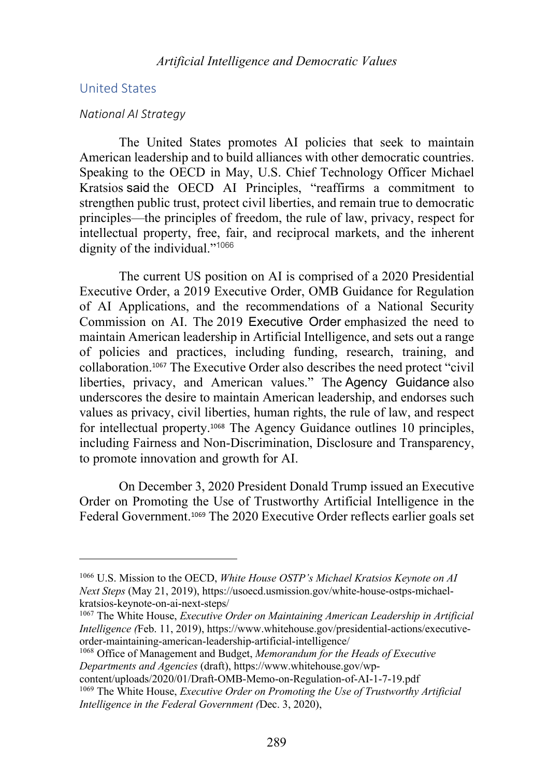## United States

#### *National AI Strategy*

The United States promotes AI policies that seek to maintain American leadership and to build alliances with other democratic countries. Speaking to the OECD in May, U.S. Chief Technology Officer Michael Kratsios said the OECD AI Principles, "reaffirms a commitment to strengthen public trust, protect civil liberties, and remain true to democratic principles—the principles of freedom, the rule of law, privacy, respect for intellectual property, free, fair, and reciprocal markets, and the inherent dignity of the individual."<sup>1066</sup>

The current US position on AI is comprised of a 2020 Presidential Executive Order, a 2019 Executive Order, OMB Guidance for Regulation of AI Applications, and the recommendations of a National Security Commission on AI. The 2019 Executive Order emphasized the need to maintain American leadership in Artificial Intelligence, and sets out a range of policies and practices, including funding, research, training, and collaboration.<sup>1067</sup> The Executive Order also describes the need protect "civil liberties, privacy, and American values." The Agency Guidance also underscores the desire to maintain American leadership, and endorses such values as privacy, civil liberties, human rights, the rule of law, and respect for intellectual property.<sup>1068</sup> The Agency Guidance outlines 10 principles, including Fairness and Non-Discrimination, Disclosure and Transparency, to promote innovation and growth for AI.

On December 3, 2020 President Donald Trump issued an Executive Order on Promoting the Use of Trustworthy Artificial Intelligence in the Federal Government. <sup>1069</sup> The 2020 Executive Order reflects earlier goals set

<sup>1066</sup> U.S. Mission to the OECD, *White House OSTP's Michael Kratsios Keynote on AI Next Steps* (May 21, 2019), https://usoecd.usmission.gov/white-house-ostps-michaelkratsios-keynote-on-ai-next-steps/

<sup>1067</sup> The White House, *Executive Order on Maintaining American Leadership in Artificial Intelligence (*Feb. 11, 2019), https://www.whitehouse.gov/presidential-actions/executiveorder-maintaining-american-leadership-artificial-intelligence/

<sup>1068</sup> Office of Management and Budget, *Memorandum for the Heads of Executive Departments and Agencies* (draft), https://www.whitehouse.gov/wp-

content/uploads/2020/01/Draft-OMB-Memo-on-Regulation-of-AI-1-7-19.pdf <sup>1069</sup> The White House, *Executive Order on Promoting the Use of Trustworthy Artificial Intelligence in the Federal Government (*Dec. 3, 2020),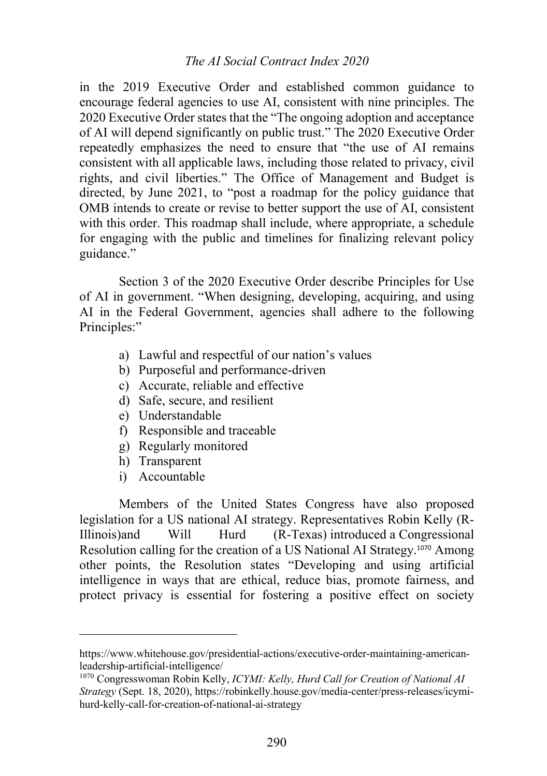## *The AI Social Contract Index 2020*

in the 2019 Executive Order and established common guidance to encourage federal agencies to use AI, consistent with nine principles. The 2020 Executive Order states that the "The ongoing adoption and acceptance of AI will depend significantly on public trust." The 2020 Executive Order repeatedly emphasizes the need to ensure that "the use of AI remains consistent with all applicable laws, including those related to privacy, civil rights, and civil liberties." The Office of Management and Budget is directed, by June 2021, to "post a roadmap for the policy guidance that OMB intends to create or revise to better support the use of AI, consistent with this order. This roadmap shall include, where appropriate, a schedule for engaging with the public and timelines for finalizing relevant policy guidance."

Section 3 of the 2020 Executive Order describe Principles for Use of AI in government. "When designing, developing, acquiring, and using AI in the Federal Government, agencies shall adhere to the following Principles:"

- a) Lawful and respectful of our nation's values
- b) Purposeful and performance-driven
- c) Accurate, reliable and effective
- d) Safe, secure, and resilient
- e) Understandable
- f) Responsible and traceable
- g) Regularly monitored
- h) Transparent
- i) Accountable

Members of the United States Congress have also proposed legislation for a US national AI strategy. Representatives Robin Kelly (R-Illinois)and Will Hurd (R-Texas) introduced a Congressional Resolution calling for the creation of a US National AI Strategy.<sup>1070</sup> Among other points, the Resolution states "Developing and using artificial intelligence in ways that are ethical, reduce bias, promote fairness, and protect privacy is essential for fostering a positive effect on society

https://www.whitehouse.gov/presidential-actions/executive-order-maintaining-americanleadership-artificial-intelligence/

<sup>1070</sup> Congresswoman Robin Kelly, *ICYMI: Kelly, Hurd Call for Creation of National AI Strategy* (Sept. 18, 2020), https://robinkelly.house.gov/media-center/press-releases/icymihurd-kelly-call-for-creation-of-national-ai-strategy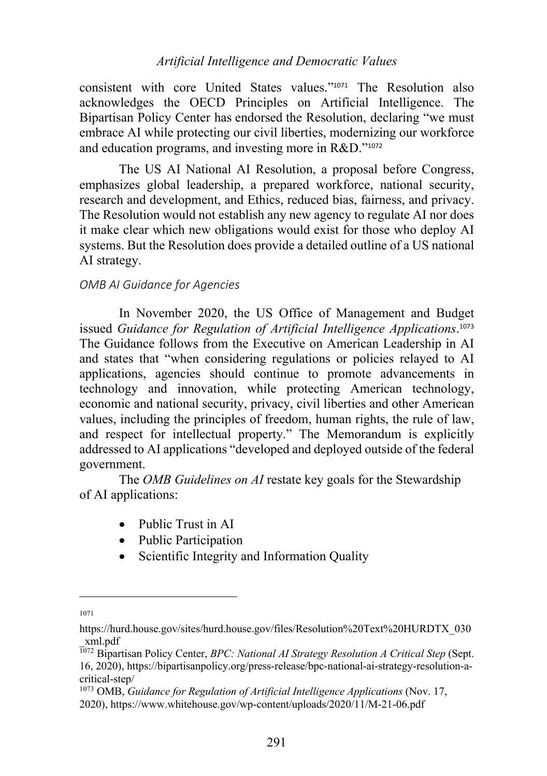consistent with core United States values."<sup>1071</sup> The Resolution also acknowledges the OECD Principles on Artificial Intelligence. The Bipartisan Policy Center has endorsed the Resolution, declaring "we must embrace AI while protecting our civil liberties, modernizing our workforce and education programs, and investing more in R&D."<sup>1072</sup>

The US AI National AI Resolution, a proposal before Congress, emphasizes global leadership, a prepared workforce, national security, research and development, and Ethics, reduced bias, fairness, and privacy. The Resolution would not establish any new agency to regulate AI nor does it make clear which new obligations would exist for those who deploy AI systems. But the Resolution does provide a detailed outline of a US national AI strategy.

### *OMB AI Guidance for Agencies*

In November 2020, the US Office of Management and Budget issued *Guidance for Regulation of Artificial Intelligence Applications*. 1073 The Guidance follows from the Executive on American Leadership in AI and states that "when considering regulations or policies relayed to AI applications, agencies should continue to promote advancements in technology and innovation, while protecting American technology, economic and national security, privacy, civil liberties and other American values, including the principles of freedom, human rights, the rule of law, and respect for intellectual property." The Memorandum is explicitly addressed to AI applications "developed and deployed outside of the federal government.

The *OMB Guidelines on AI* restate key goals for the Stewardship of AI applications:

- Public Trust in AI
- Public Participation
- Scientific Integrity and Information Quality

<sup>1071</sup>

https://hurd.house.gov/sites/hurd.house.gov/files/Resolution%20Text%20HURDTX\_030 \_xml.pdf

<sup>1072</sup> Bipartisan Policy Center, *BPC: National AI Strategy Resolution A Critical Step* (Sept. 16, 2020), https://bipartisanpolicy.org/press-release/bpc-national-ai-strategy-resolution-acritical-step/

<sup>1073</sup> OMB, *Guidance for Regulation of Artificial Intelligence Applications* (Nov. 17,

<sup>2020),</sup> https://www.whitehouse.gov/wp-content/uploads/2020/11/M-21-06.pdf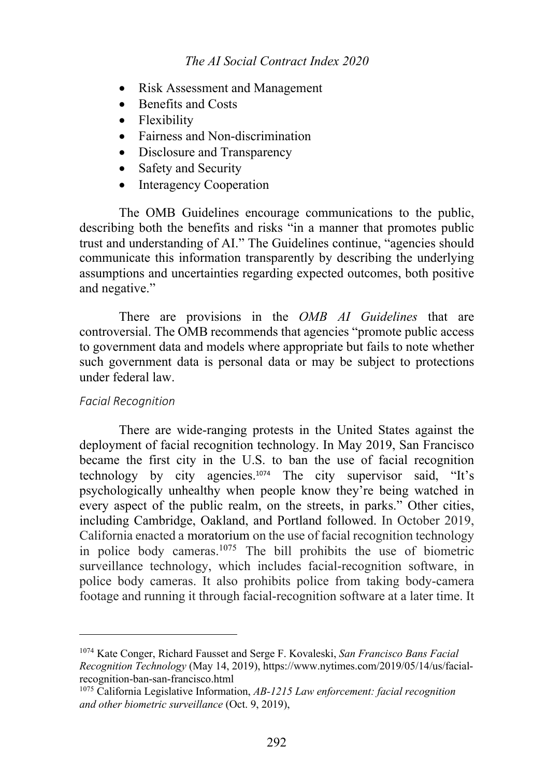## *The AI Social Contract Index 2020*

- Risk Assessment and Management
- Benefits and Costs
- Flexibility
- Fairness and Non-discrimination
- Disclosure and Transparency
- Safety and Security
- Interagency Cooperation

The OMB Guidelines encourage communications to the public, describing both the benefits and risks "in a manner that promotes public trust and understanding of AI." The Guidelines continue, "agencies should communicate this information transparently by describing the underlying assumptions and uncertainties regarding expected outcomes, both positive and negative."

There are provisions in the *OMB AI Guidelines* that are controversial. The OMB recommends that agencies "promote public access to government data and models where appropriate but fails to note whether such government data is personal data or may be subject to protections under federal law.

#### *Facial Recognition*

There are wide-ranging protests in the United States against the deployment of facial recognition technology. In May 2019, San Francisco became the first city in the U.S. to ban the use of facial recognition technology by city agencies.<sup>1074</sup> The city supervisor said, "It's psychologically unhealthy when people know they're being watched in every aspect of the public realm, on the streets, in parks." Other cities, including Cambridge, Oakland, and Portland followed. In October 2019, California enacted a moratorium on the use of facial recognition technology in police body cameras.1075 The bill prohibits the use of biometric surveillance technology, which includes facial-recognition software, in police body cameras. It also prohibits police from taking body-camera footage and running it through facial-recognition software at a later time. It

<sup>1074</sup> Kate Conger, Richard Fausset and Serge F. Kovaleski, *San Francisco Bans Facial Recognition Technology* (May 14, 2019), https://www.nytimes.com/2019/05/14/us/facialrecognition-ban-san-francisco.html

<sup>1075</sup> California Legislative Information, *AB-1215 Law enforcement: facial recognition and other biometric surveillance* (Oct. 9, 2019),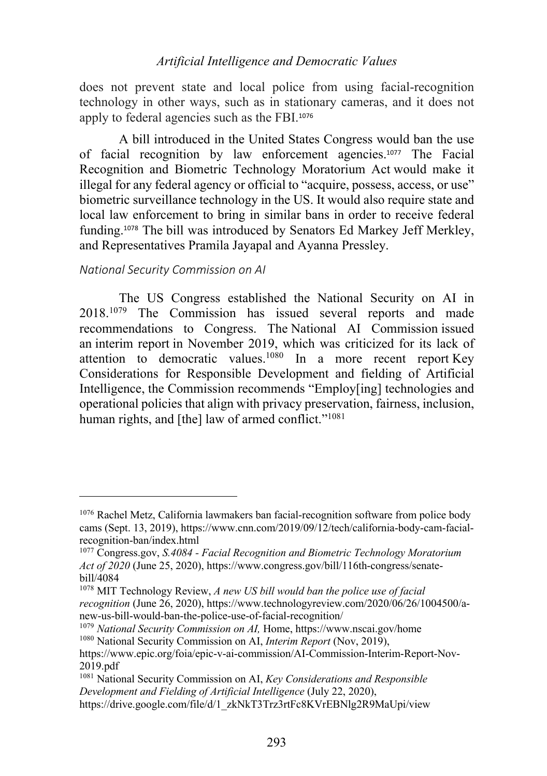does not prevent state and local police from using facial-recognition technology in other ways, such as in stationary cameras, and it does not apply to federal agencies such as the FBI.<sup>1076</sup>

A bill introduced in the United States Congress would ban the use of facial recognition by law enforcement agencies.<sup>1077</sup> The Facial Recognition and Biometric Technology Moratorium Act would make it illegal for any federal agency or official to "acquire, possess, access, or use" biometric surveillance technology in the US. It would also require state and local law enforcement to bring in similar bans in order to receive federal funding. <sup>1078</sup> The bill was introduced by Senators Ed Markey Jeff Merkley, and Representatives Pramila Jayapal and Ayanna Pressley.

### *National Security Commission on AI*

The US Congress established the National Security on AI in 2018.1079 The Commission has issued several reports and made recommendations to Congress. The National AI Commission issued an interim report in November 2019, which was criticized for its lack of attention to democratic values.1080 In a more recent report Key Considerations for Responsible Development and fielding of Artificial Intelligence, the Commission recommends "Employ[ing] technologies and operational policies that align with privacy preservation, fairness, inclusion, human rights, and [the] law of armed conflict."<sup>1081</sup>

<sup>1076</sup> Rachel Metz, California lawmakers ban facial-recognition software from police body cams (Sept. 13, 2019), https://www.cnn.com/2019/09/12/tech/california-body-cam-facialrecognition-ban/index.html

<sup>1077</sup> Congress.gov, *S.4084 - Facial Recognition and Biometric Technology Moratorium Act of 2020* (June 25, 2020), https://www.congress.gov/bill/116th-congress/senatebill/4084

<sup>1078</sup> MIT Technology Review, *A new US bill would ban the police use of facial recognition* (June 26, 2020), https://www.technologyreview.com/2020/06/26/1004500/anew-us-bill-would-ban-the-police-use-of-facial-recognition/

<sup>1079</sup> *National Security Commission on AI,* Home, https://www.nscai.gov/home <sup>1080</sup> National Security Commission on AI, *Interim Report* (Nov, 2019),

https://www.epic.org/foia/epic-v-ai-commission/AI-Commission-Interim-Report-Nov-2019.pdf

<sup>1081</sup> National Security Commission on AI, *Key Considerations and Responsible Development and Fielding of Artificial Intelligence* (July 22, 2020), https://drive.google.com/file/d/1\_zkNkT3Trz3rtFc8KVrEBNlg2R9MaUpi/view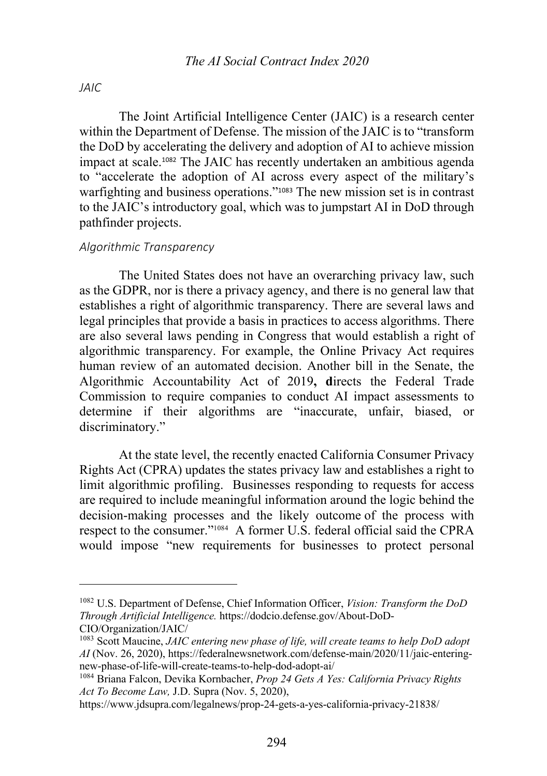# *JAIC*

The Joint Artificial Intelligence Center (JAIC) is a research center within the Department of Defense. The mission of the JAIC is to "transform the DoD by accelerating the delivery and adoption of AI to achieve mission impact at scale.<sup>1082</sup> The JAIC has recently undertaken an ambitious agenda to "accelerate the adoption of AI across every aspect of the military's warfighting and business operations."<sup>1083</sup> The new mission set is in contrast to the JAIC's introductory goal, which was to jumpstart AI in DoD through pathfinder projects.

### *Algorithmic Transparency*

The United States does not have an overarching privacy law, such as the GDPR, nor is there a privacy agency, and there is no general law that establishes a right of algorithmic transparency. There are several laws and legal principles that provide a basis in practices to access algorithms. There are also several laws pending in Congress that would establish a right of algorithmic transparency. For example, the Online Privacy Act requires human review of an automated decision. Another bill in the Senate, the Algorithmic Accountability Act of 2019**, d**irects the Federal Trade Commission to require companies to conduct AI impact assessments to determine if their algorithms are "inaccurate, unfair, biased, or discriminatory."

At the state level, the recently enacted California Consumer Privacy Rights Act (CPRA) updates the states privacy law and establishes a right to limit algorithmic profiling. Businesses responding to requests for access are required to include meaningful information around the logic behind the decision-making processes and the likely outcome of the process with respect to the consumer."1084 A former U.S. federal official said the CPRA would impose "new requirements for businesses to protect personal

<sup>1082</sup> U.S. Department of Defense, Chief Information Officer, *Vision: Transform the DoD Through Artificial Intelligence.* https://dodcio.defense.gov/About-DoD-CIO/Organization/JAIC/

<sup>1083</sup> Scott Maucine, *JAIC entering new phase of life, will create teams to help DoD adopt AI* (Nov. 26, 2020), https://federalnewsnetwork.com/defense-main/2020/11/jaic-enteringnew-phase-of-life-will-create-teams-to-help-dod-adopt-ai/

<sup>1084</sup> Briana Falcon, Devika Kornbacher, *Prop 24 Gets A Yes: California Privacy Rights Act To Become Law,* J.D. Supra (Nov. 5, 2020),

https://www.jdsupra.com/legalnews/prop-24-gets-a-yes-california-privacy-21838/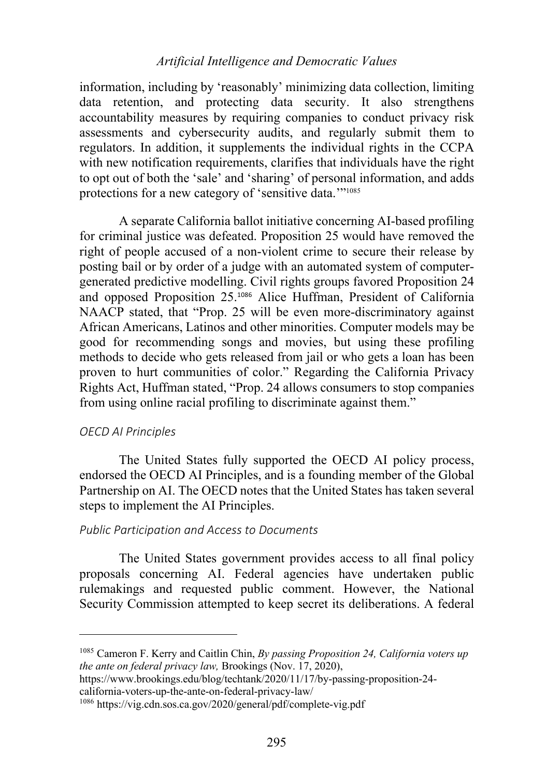information, including by 'reasonably' minimizing data collection, limiting data retention, and protecting data security. It also strengthens accountability measures by requiring companies to conduct privacy risk assessments and cybersecurity audits, and regularly submit them to regulators. In addition, it supplements the individual rights in the CCPA with new notification requirements, clarifies that individuals have the right to opt out of both the 'sale' and 'sharing' of personal information, and adds protections for a new category of 'sensitive data.'"1085

A separate California ballot initiative concerning AI-based profiling for criminal justice was defeated. Proposition 25 would have removed the right of people accused of a non-violent crime to secure their release by posting bail or by order of a judge with an automated system of computergenerated predictive modelling. Civil rights groups favored Proposition 24 and opposed Proposition 25.<sup>1086</sup> Alice Huffman, President of California NAACP stated, that "Prop. 25 will be even more-discriminatory against African Americans, Latinos and other minorities. Computer models may be good for recommending songs and movies, but using these profiling methods to decide who gets released from jail or who gets a loan has been proven to hurt communities of color." Regarding the California Privacy Rights Act, Huffman stated, "Prop. 24 allows consumers to stop companies from using online racial profiling to discriminate against them."

#### *OECD AI Principles*

The United States fully supported the OECD AI policy process, endorsed the OECD AI Principles, and is a founding member of the Global Partnership on AI. The OECD notes that the United States has taken several steps to implement the AI Principles.

# *Public Participation and Access to Documents*

The United States government provides access to all final policy proposals concerning AI. Federal agencies have undertaken public rulemakings and requested public comment. However, the National Security Commission attempted to keep secret its deliberations. A federal

<sup>1085</sup> Cameron F. Kerry and Caitlin Chin, *By passing Proposition 24, California voters up the ante on federal privacy law,* Brookings (Nov. 17, 2020),

https://www.brookings.edu/blog/techtank/2020/11/17/by-passing-proposition-24 california-voters-up-the-ante-on-federal-privacy-law/

<sup>1086</sup> https://vig.cdn.sos.ca.gov/2020/general/pdf/complete-vig.pdf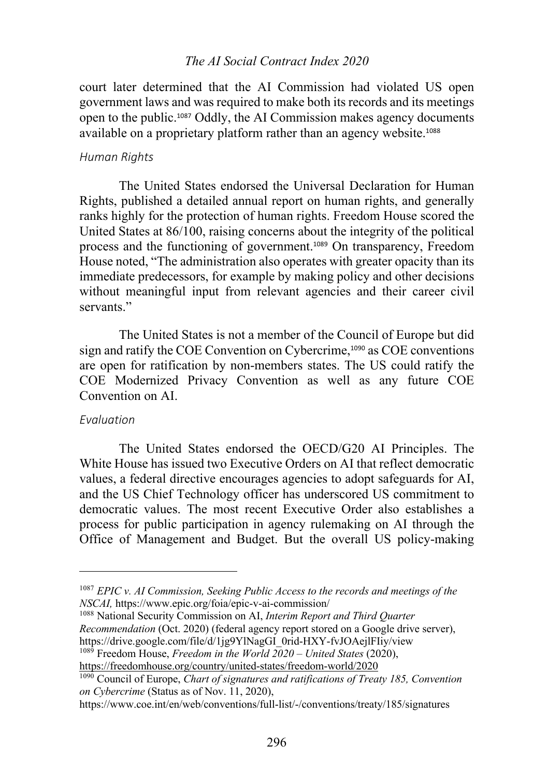### *The AI Social Contract Index 2020*

court later determined that the AI Commission had violated US open government laws and was required to make both its records and its meetings open to the public.<sup>1087</sup> Oddly, the AI Commission makes agency documents available on a proprietary platform rather than an agency website.<sup>1088</sup>

#### *Human Rights*

The United States endorsed the Universal Declaration for Human Rights, published a detailed annual report on human rights, and generally ranks highly for the protection of human rights. Freedom House scored the United States at 86/100, raising concerns about the integrity of the political process and the functioning of government.<sup>1089</sup> On transparency, Freedom House noted, "The administration also operates with greater opacity than its immediate predecessors, for example by making policy and other decisions without meaningful input from relevant agencies and their career civil servants."

The United States is not a member of the Council of Europe but did sign and ratify the COE Convention on Cybercrime,<sup>1090</sup> as COE conventions are open for ratification by non-members states. The US could ratify the COE Modernized Privacy Convention as well as any future COE Convention on AI.

## *Evaluation*

The United States endorsed the OECD/G20 AI Principles. The White House has issued two Executive Orders on AI that reflect democratic values, a federal directive encourages agencies to adopt safeguards for AI, and the US Chief Technology officer has underscored US commitment to democratic values. The most recent Executive Order also establishes a process for public participation in agency rulemaking on AI through the Office of Management and Budget. But the overall US policy-making

<sup>1088</sup> National Security Commission on AI, *Interim Report and Third Quarter Recommendation* (Oct. 2020) (federal agency report stored on a Google drive server), https://drive.google.com/file/d/1jg9YlNagGI\_0rid-HXY-fvJOAejlFIiy/view

<sup>1089</sup> Freedom House, *Freedom in the World 2020 – United States* (2020),

https://freedomhouse.org/country/united-states/freedom-world/2020

<sup>1087</sup> *EPIC v. AI Commission, Seeking Public Access to the records and meetings of the NSCAI,* https://www.epic.org/foia/epic-v-ai-commission/

<sup>1090</sup> Council of Europe, *Chart of signatures and ratifications of Treaty 185, Convention on Cybercrime* (Status as of Nov. 11, 2020),

https://www.coe.int/en/web/conventions/full-list/-/conventions/treaty/185/signatures